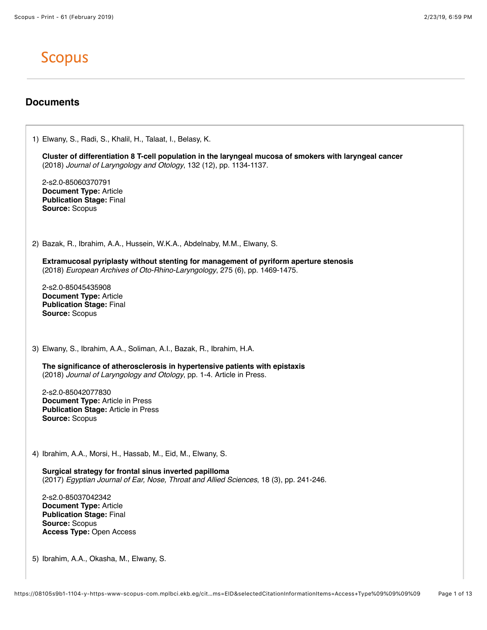## **Scopus**

## **Documents**

1) Elwany, S., Radi, S., Khalil, H., Talaat, I., Belasy, K. **Cluster of differentiation 8 T-cell population in the laryngeal mucosa of smokers with laryngeal cancer** (2018) *Journal of Laryngology and Otology*, 132 (12), pp. 1134-1137. 2-s2.0-85060370791 **Document Type:** Article **Publication Stage:** Final **Source:** Scopus 2) Bazak, R., Ibrahim, A.A., Hussein, W.K.A., Abdelnaby, M.M., Elwany, S. **Extramucosal pyriplasty without stenting for management of pyriform aperture stenosis** (2018) *European Archives of Oto-Rhino-Laryngology*, 275 (6), pp. 1469-1475. 2-s2.0-85045435908 **Document Type:** Article **Publication Stage:** Final **Source:** Scopus 3) Elwany, S., Ibrahim, A.A., Soliman, A.I., Bazak, R., Ibrahim, H.A. **The significance of atherosclerosis in hypertensive patients with epistaxis** (2018) *Journal of Laryngology and Otology*, pp. 1-4. Article in Press. 2-s2.0-85042077830 **Document Type:** Article in Press **Publication Stage:** Article in Press **Source:** Scopus 4) Ibrahim, A.A., Morsi, H., Hassab, M., Eid, M., Elwany, S. **Surgical strategy for frontal sinus inverted papilloma** (2017) *Egyptian Journal of Ear, Nose, Throat and Allied Sciences*, 18 (3), pp. 241-246. 2-s2.0-85037042342 **Document Type:** Article **Publication Stage:** Final **Source:** Scopus **Access Type:** Open Access 5) Ibrahim, A.A., Okasha, M., Elwany, S.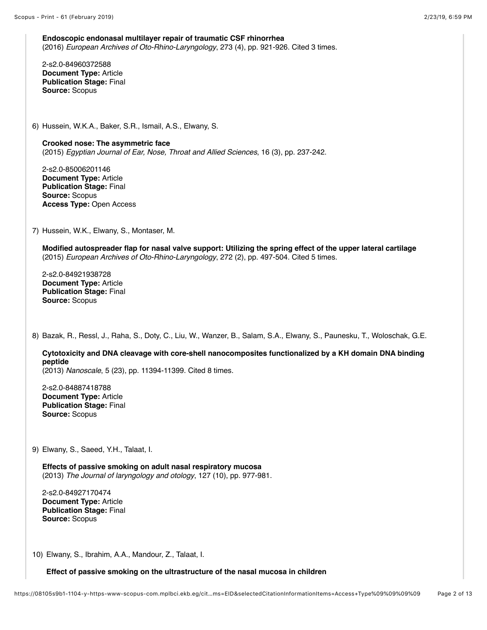**Endoscopic endonasal multilayer repair of traumatic CSF rhinorrhea** (2016) *European Archives of Oto-Rhino-Laryngology*, 273 (4), pp. 921-926. Cited 3 times.

2-s2.0-84960372588 **Document Type:** Article **Publication Stage:** Final **Source:** Scopus

6) Hussein, W.K.A., Baker, S.R., Ismail, A.S., Elwany, S.

**Crooked nose: The asymmetric face** (2015) *Egyptian Journal of Ear, Nose, Throat and Allied Sciences*, 16 (3), pp. 237-242.

2-s2.0-85006201146 **Document Type:** Article **Publication Stage:** Final **Source:** Scopus **Access Type:** Open Access

7) Hussein, W.K., Elwany, S., Montaser, M.

**Modified autospreader flap for nasal valve support: Utilizing the spring effect of the upper lateral cartilage** (2015) *European Archives of Oto-Rhino-Laryngology*, 272 (2), pp. 497-504. Cited 5 times.

2-s2.0-84921938728 **Document Type:** Article **Publication Stage:** Final **Source:** Scopus

8) Bazak, R., Ressl, J., Raha, S., Doty, C., Liu, W., Wanzer, B., Salam, S.A., Elwany, S., Paunesku, T., Woloschak, G.E.

**Cytotoxicity and DNA cleavage with core-shell nanocomposites functionalized by a KH domain DNA binding peptide**

(2013) *Nanoscale*, 5 (23), pp. 11394-11399. Cited 8 times.

2-s2.0-84887418788 **Document Type:** Article **Publication Stage:** Final **Source:** Scopus

9) Elwany, S., Saeed, Y.H., Talaat, I.

**Effects of passive smoking on adult nasal respiratory mucosa** (2013) *The Journal of laryngology and otology*, 127 (10), pp. 977-981.

2-s2.0-84927170474 **Document Type:** Article **Publication Stage:** Final **Source:** Scopus

10) Elwany, S., Ibrahim, A.A., Mandour, Z., Talaat, I.

**Effect of passive smoking on the ultrastructure of the nasal mucosa in children**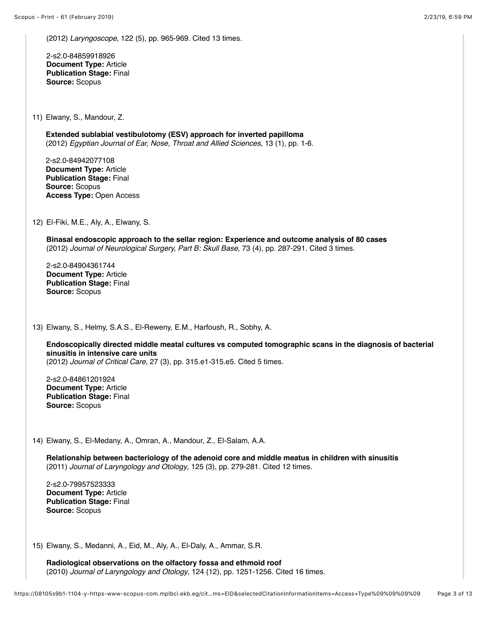(2012) *Laryngoscope*, 122 (5), pp. 965-969. Cited 13 times.

2-s2.0-84859918926 **Document Type:** Article **Publication Stage:** Final **Source:** Scopus

11) Elwany, S., Mandour, Z.

**Extended sublabial vestibulotomy (ESV) approach for inverted papilloma** (2012) *Egyptian Journal of Ear, Nose, Throat and Allied Sciences*, 13 (1), pp. 1-6.

2-s2.0-84942077108 **Document Type:** Article **Publication Stage:** Final **Source:** Scopus **Access Type:** Open Access

12) El-Fiki, M.E., Aly, A., Elwany, S.

**Binasal endoscopic approach to the sellar region: Experience and outcome analysis of 80 cases** (2012) *Journal of Neurological Surgery, Part B: Skull Base*, 73 (4), pp. 287-291. Cited 3 times.

2-s2.0-84904361744 **Document Type:** Article **Publication Stage:** Final **Source:** Scopus

13) Elwany, S., Helmy, S.A.S., El-Reweny, E.M., Harfoush, R., Sobhy, A.

**Endoscopically directed middle meatal cultures vs computed tomographic scans in the diagnosis of bacterial sinusitis in intensive care units**

(2012) *Journal of Critical Care*, 27 (3), pp. 315.e1-315.e5. Cited 5 times.

2-s2.0-84861201924 **Document Type:** Article **Publication Stage:** Final **Source:** Scopus

14) Elwany, S., El-Medany, A., Omran, A., Mandour, Z., El-Salam, A.A.

**Relationship between bacteriology of the adenoid core and middle meatus in children with sinusitis** (2011) *Journal of Laryngology and Otology*, 125 (3), pp. 279-281. Cited 12 times.

2-s2.0-79957523333 **Document Type:** Article **Publication Stage:** Final **Source:** Scopus

15) Elwany, S., Medanni, A., Eid, M., Aly, A., El-Daly, A., Ammar, S.R.

**Radiological observations on the olfactory fossa and ethmoid roof** (2010) *Journal of Laryngology and Otology*, 124 (12), pp. 1251-1256. Cited 16 times.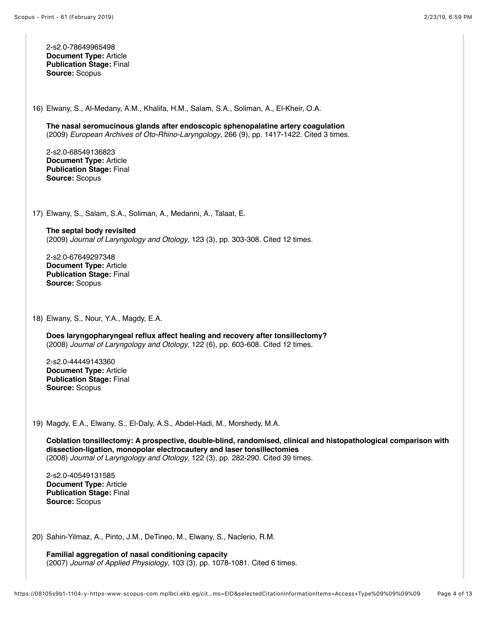2-s2.0-78649965498 **Document Type:** Article **Publication Stage:** Final **Source:** Scopus

16) Elwany, S., Al-Medany, A.M., Khalifa, H.M., Salam, S.A., Soliman, A., El-Kheir, O.A.

**The nasal seromucinous glands after endoscopic sphenopalatine artery coagulation** (2009) *European Archives of Oto-Rhino-Laryngology*, 266 (9), pp. 1417-1422. Cited 3 times.

2-s2.0-68549136823 **Document Type:** Article **Publication Stage:** Final **Source:** Scopus

17) Elwany, S., Salam, S.A., Soliman, A., Medanni, A., Talaat, E.

**The septal body revisited** (2009) *Journal of Laryngology and Otology*, 123 (3), pp. 303-308. Cited 12 times.

2-s2.0-67649297348 **Document Type:** Article **Publication Stage:** Final **Source:** Scopus

18) Elwany, S., Nour, Y.A., Magdy, E.A.

**Does laryngopharyngeal reflux affect healing and recovery after tonsillectomy?** (2008) *Journal of Laryngology and Otology*, 122 (6), pp. 603-608. Cited 12 times.

2-s2.0-44449143360 **Document Type:** Article **Publication Stage:** Final **Source:** Scopus

19) Magdy, E.A., Elwany, S., El-Daly, A.S., Abdel-Hadi, M., Morshedy, M.A.

**Coblation tonsillectomy: A prospective, double-blind, randomised, clinical and histopathological comparison with dissection-ligation, monopolar electrocautery and laser tonsillectomies** (2008) *Journal of Laryngology and Otology*, 122 (3), pp. 282-290. Cited 39 times.

2-s2.0-40549131585 **Document Type:** Article **Publication Stage:** Final **Source:** Scopus

20) Sahin-Yilmaz, A., Pinto, J.M., DeTineo, M., Elwany, S., Naclerio, R.M.

**Familial aggregation of nasal conditioning capacity** (2007) *Journal of Applied Physiology*, 103 (3), pp. 1078-1081. Cited 6 times.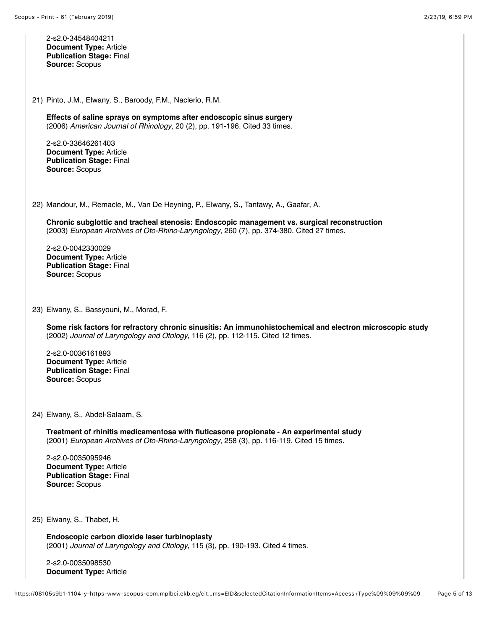Scopus - Print - 61 (February 2019) 2/23/19, 6)59 PM 2-s2.0-34548404211 **Document Type:** Article **Publication Stage:** Final **Source:** Scopus 21) Pinto, J.M., Elwany, S., Baroody, F.M., Naclerio, R.M. **Effects of saline sprays on symptoms after endoscopic sinus surgery** (2006) *American Journal of Rhinology*, 20 (2), pp. 191-196. Cited 33 times. 2-s2.0-33646261403 **Document Type:** Article **Publication Stage:** Final **Source:** Scopus 22) Mandour, M., Remacle, M., Van De Heyning, P., Elwany, S., Tantawy, A., Gaafar, A. **Chronic subglottic and tracheal stenosis: Endoscopic management vs. surgical reconstruction** (2003) *European Archives of Oto-Rhino-Laryngology*, 260 (7), pp. 374-380. Cited 27 times. 2-s2.0-0042330029 **Document Type:** Article **Publication Stage:** Final **Source:** Scopus 23) Elwany, S., Bassyouni, M., Morad, F. **Some risk factors for refractory chronic sinusitis: An immunohistochemical and electron microscopic study** (2002) *Journal of Laryngology and Otology*, 116 (2), pp. 112-115. Cited 12 times. 2-s2.0-0036161893 **Document Type:** Article **Publication Stage:** Final **Source:** Scopus 24) Elwany, S., Abdel-Salaam, S. **Treatment of rhinitis medicamentosa with fluticasone propionate - An experimental study** (2001) *European Archives of Oto-Rhino-Laryngology*, 258 (3), pp. 116-119. Cited 15 times. 2-s2.0-0035095946 **Document Type:** Article **Publication Stage:** Final **Source:** Scopus 25) Elwany, S., Thabet, H. **Endoscopic carbon dioxide laser turbinoplasty** (2001) *Journal of Laryngology and Otology*, 115 (3), pp. 190-193. Cited 4 times. 2-s2.0-0035098530 **Document Type:** Article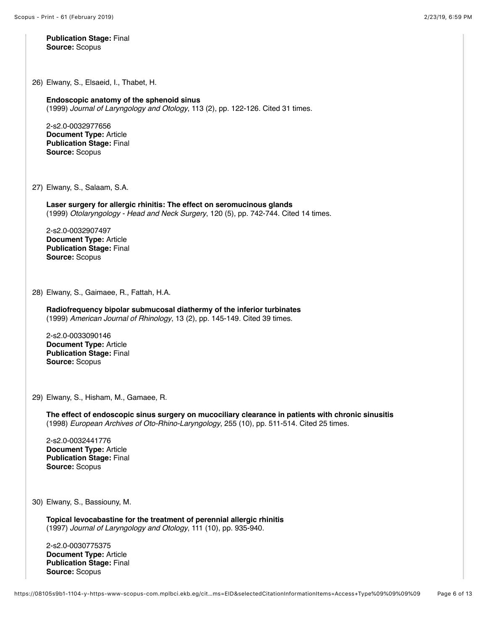**Publication Stage:** Final **Source:** Scopus

26) Elwany, S., Elsaeid, I., Thabet, H.

**Endoscopic anatomy of the sphenoid sinus** (1999) *Journal of Laryngology and Otology*, 113 (2), pp. 122-126. Cited 31 times.

2-s2.0-0032977656 **Document Type:** Article **Publication Stage:** Final **Source:** Scopus

27) Elwany, S., Salaam, S.A.

**Laser surgery for allergic rhinitis: The effect on seromucinous glands** (1999) *Otolaryngology - Head and Neck Surgery*, 120 (5), pp. 742-744. Cited 14 times.

2-s2.0-0032907497 **Document Type:** Article **Publication Stage:** Final **Source:** Scopus

28) Elwany, S., Gaimaee, R., Fattah, H.A.

**Radiofrequency bipolar submucosal diathermy of the inferior turbinates** (1999) *American Journal of Rhinology*, 13 (2), pp. 145-149. Cited 39 times.

2-s2.0-0033090146 **Document Type:** Article **Publication Stage:** Final **Source:** Scopus

29) Elwany, S., Hisham, M., Gamaee, R.

**The effect of endoscopic sinus surgery on mucociliary clearance in patients with chronic sinusitis** (1998) *European Archives of Oto-Rhino-Laryngology*, 255 (10), pp. 511-514. Cited 25 times.

2-s2.0-0032441776 **Document Type:** Article **Publication Stage:** Final **Source:** Scopus

30) Elwany, S., Bassiouny, M.

**Topical levocabastine for the treatment of perennial allergic rhinitis** (1997) *Journal of Laryngology and Otology*, 111 (10), pp. 935-940.

2-s2.0-0030775375 **Document Type:** Article **Publication Stage:** Final **Source:** Scopus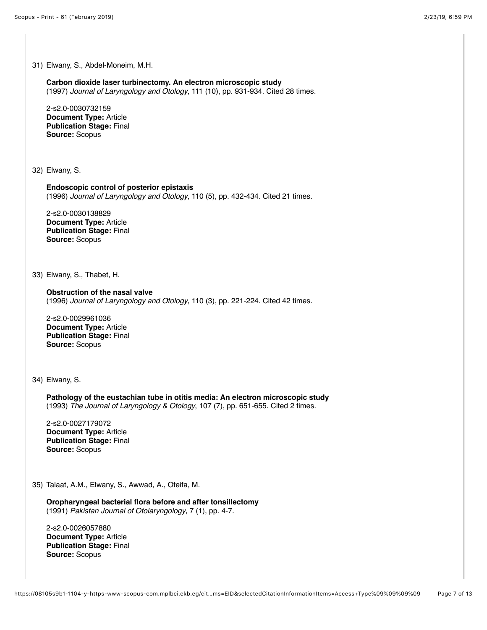31) Elwany, S., Abdel-Moneim, M.H. **Carbon dioxide laser turbinectomy. An electron microscopic study** (1997) *Journal of Laryngology and Otology*, 111 (10), pp. 931-934. Cited 28 times. 2-s2.0-0030732159 **Document Type:** Article **Publication Stage:** Final **Source:** Scopus 32) Elwany, S. **Endoscopic control of posterior epistaxis** (1996) *Journal of Laryngology and Otology*, 110 (5), pp. 432-434. Cited 21 times. 2-s2.0-0030138829 **Document Type:** Article **Publication Stage:** Final **Source:** Scopus 33) Elwany, S., Thabet, H. **Obstruction of the nasal valve** (1996) *Journal of Laryngology and Otology*, 110 (3), pp. 221-224. Cited 42 times. 2-s2.0-0029961036 **Document Type:** Article **Publication Stage:** Final **Source:** Scopus 34) Elwany, S. **Pathology of the eustachian tube in otitis media: An electron microscopic study** (1993) *The Journal of Laryngology & Otology*, 107 (7), pp. 651-655. Cited 2 times. 2-s2.0-0027179072 **Document Type:** Article **Publication Stage:** Final **Source:** Scopus 35) Talaat, A.M., Elwany, S., Awwad, A., Oteifa, M. **Oropharyngeal bacterial flora before and after tonsillectomy** (1991) *Pakistan Journal of Otolaryngology*, 7 (1), pp. 4-7. 2-s2.0-0026057880 **Document Type:** Article **Publication Stage:** Final **Source:** Scopus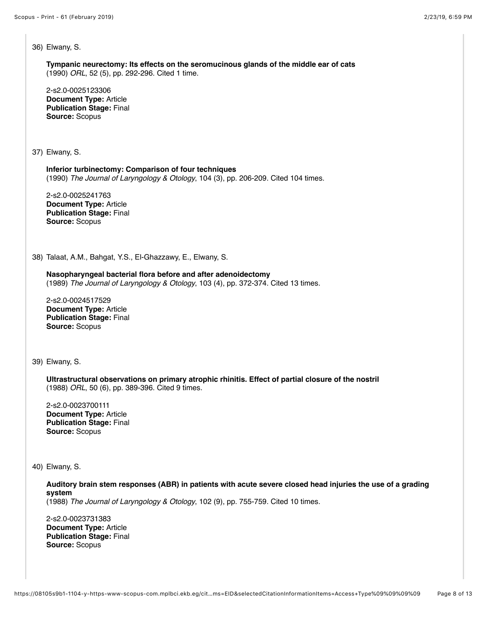36) Elwany, S.

**Tympanic neurectomy: Its effects on the seromucinous glands of the middle ear of cats** (1990) *ORL*, 52 (5), pp. 292-296. Cited 1 time.

2-s2.0-0025123306 **Document Type:** Article **Publication Stage:** Final **Source:** Scopus

37) Elwany, S.

**Inferior turbinectomy: Comparison of four techniques** (1990) *The Journal of Laryngology & Otology*, 104 (3), pp. 206-209. Cited 104 times.

2-s2.0-0025241763 **Document Type:** Article **Publication Stage:** Final **Source:** Scopus

38) Talaat, A.M., Bahgat, Y.S., El-Ghazzawy, E., Elwany, S.

## **Nasopharyngeal bacterial flora before and after adenoidectomy**

(1989) *The Journal of Laryngology & Otology*, 103 (4), pp. 372-374. Cited 13 times.

2-s2.0-0024517529 **Document Type:** Article **Publication Stage:** Final **Source:** Scopus

39) Elwany, S.

**Ultrastructural observations on primary atrophic rhinitis. Effect of partial closure of the nostril** (1988) *ORL*, 50 (6), pp. 389-396. Cited 9 times.

2-s2.0-0023700111 **Document Type:** Article **Publication Stage:** Final **Source:** Scopus

40) Elwany, S.

**Auditory brain stem responses (ABR) in patients with acute severe closed head injuries the use of a grading system**

(1988) *The Journal of Laryngology & Otology*, 102 (9), pp. 755-759. Cited 10 times.

2-s2.0-0023731383 **Document Type:** Article **Publication Stage:** Final **Source:** Scopus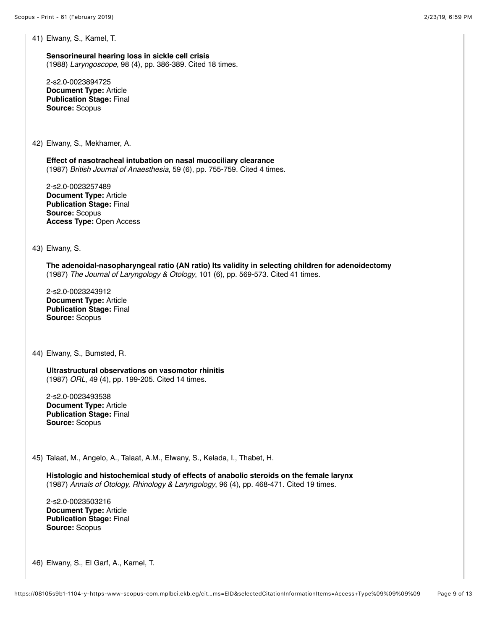41) Elwany, S., Kamel, T.

**Sensorineural hearing loss in sickle cell crisis** (1988) *Laryngoscope*, 98 (4), pp. 386-389. Cited 18 times.

2-s2.0-0023894725 **Document Type:** Article **Publication Stage:** Final **Source:** Scopus

42) Elwany, S., Mekhamer, A.

**Effect of nasotracheal intubation on nasal mucociliary clearance** (1987) *British Journal of Anaesthesia*, 59 (6), pp. 755-759. Cited 4 times.

2-s2.0-0023257489 **Document Type:** Article **Publication Stage:** Final **Source:** Scopus **Access Type:** Open Access

43) Elwany, S.

**The adenoidal-nasopharyngeal ratio (AN ratio) Its validity in selecting children for adenoidectomy** (1987) *The Journal of Laryngology & Otology*, 101 (6), pp. 569-573. Cited 41 times.

2-s2.0-0023243912 **Document Type:** Article **Publication Stage:** Final **Source:** Scopus

44) Elwany, S., Bumsted, R.

**Ultrastructural observations on vasomotor rhinitis** (1987) *ORL*, 49 (4), pp. 199-205. Cited 14 times.

2-s2.0-0023493538 **Document Type:** Article **Publication Stage:** Final **Source:** Scopus

45) Talaat, M., Angelo, A., Talaat, A.M., Elwany, S., Kelada, I., Thabet, H.

**Histologic and histochemical study of effects of anabolic steroids on the female larynx** (1987) *Annals of Otology, Rhinology & Laryngology*, 96 (4), pp. 468-471. Cited 19 times.

2-s2.0-0023503216 **Document Type:** Article **Publication Stage:** Final **Source:** Scopus

46) Elwany, S., El Garf, A., Kamel, T.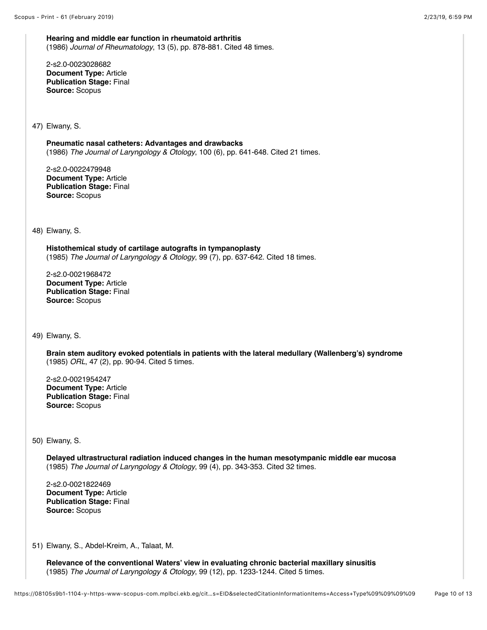**Hearing and middle ear function in rheumatoid arthritis** (1986) *Journal of Rheumatology*, 13 (5), pp. 878-881. Cited 48 times.

2-s2.0-0023028682 **Document Type:** Article **Publication Stage:** Final **Source:** Scopus

47) Elwany, S.

**Pneumatic nasal catheters: Advantages and drawbacks** (1986) *The Journal of Laryngology & Otology*, 100 (6), pp. 641-648. Cited 21 times.

2-s2.0-0022479948 **Document Type:** Article **Publication Stage:** Final **Source:** Scopus

48) Elwany, S.

**Histothemical study of cartilage autografts in tympanoplasty** (1985) *The Journal of Laryngology & Otology*, 99 (7), pp. 637-642. Cited 18 times.

2-s2.0-0021968472 **Document Type:** Article **Publication Stage:** Final **Source:** Scopus

49) Elwany, S.

**Brain stem auditory evoked potentials in patients with the lateral medullary (Wallenberg's) syndrome** (1985) *ORL*, 47 (2), pp. 90-94. Cited 5 times.

2-s2.0-0021954247 **Document Type:** Article **Publication Stage:** Final **Source:** Scopus

50) Elwany, S.

**Delayed ultrastructural radiation induced changes in the human mesotympanic middle ear mucosa** (1985) *The Journal of Laryngology & Otology*, 99 (4), pp. 343-353. Cited 32 times.

2-s2.0-0021822469 **Document Type:** Article **Publication Stage:** Final **Source:** Scopus

51) Elwany, S., Abdel-Kreim, A., Talaat, M.

**Relevance of the conventional Waters' view in evaluating chronic bacterial maxillary sinusitis** (1985) *The Journal of Laryngology & Otology*, 99 (12), pp. 1233-1244. Cited 5 times.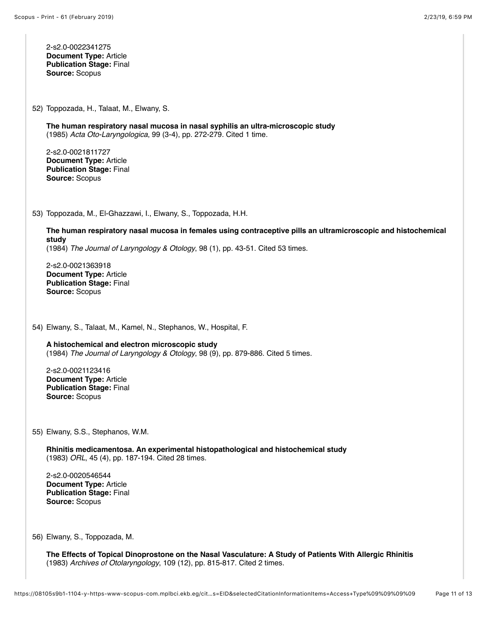2-s2.0-0022341275 **Document Type:** Article **Publication Stage:** Final **Source:** Scopus

52) Toppozada, H., Talaat, M., Elwany, S.

**The human respiratory nasal mucosa in nasal syphilis an ultra-microscopic study** (1985) *Acta Oto-Laryngologica*, 99 (3-4), pp. 272-279. Cited 1 time.

2-s2.0-0021811727 **Document Type:** Article **Publication Stage:** Final **Source:** Scopus

53) Toppozada, M., El-Ghazzawi, I., Elwany, S., Toppozada, H.H.

**The human respiratory nasal mucosa in females using contraceptive pills an ultramicroscopic and histochemical study** (1984) *The Journal of Laryngology & Otology*, 98 (1), pp. 43-51. Cited 53 times.

2-s2.0-0021363918 **Document Type:** Article **Publication Stage:** Final **Source:** Scopus

54) Elwany, S., Talaat, M., Kamel, N., Stephanos, W., Hospital, F.

**A histochemical and electron microscopic study** (1984) *The Journal of Laryngology & Otology*, 98 (9), pp. 879-886. Cited 5 times.

2-s2.0-0021123416 **Document Type:** Article **Publication Stage:** Final **Source:** Scopus

55) Elwany, S.S., Stephanos, W.M.

**Rhinitis medicamentosa. An experimental histopathological and histochemical study** (1983) *ORL*, 45 (4), pp. 187-194. Cited 28 times.

2-s2.0-0020546544 **Document Type:** Article **Publication Stage:** Final **Source:** Scopus

56) Elwany, S., Toppozada, M.

**The Effects of Topical Dinoprostone on the Nasal Vasculature: A Study of Patients With Allergic Rhinitis** (1983) *Archives of Otolaryngology*, 109 (12), pp. 815-817. Cited 2 times.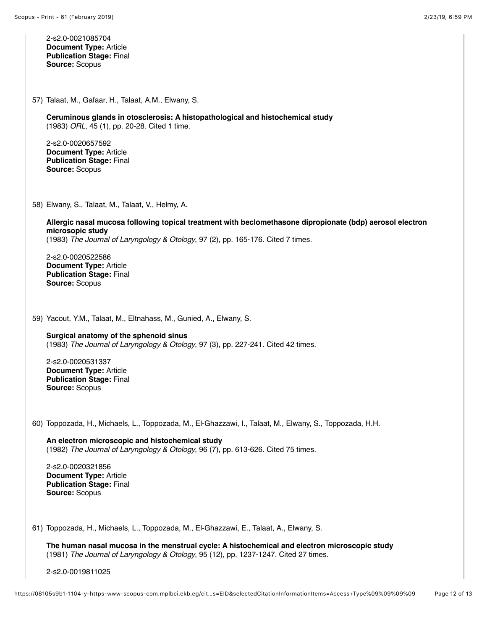Scopus - Print - 61 (February 2019) 2/23/19, 6)59 PM 2-s2.0-0021085704 **Document Type:** Article **Publication Stage:** Final **Source:** Scopus 57) Talaat, M., Gafaar, H., Talaat, A.M., Elwany, S. **Ceruminous glands in otosclerosis: A histopathological and histochemical study** (1983) *ORL*, 45 (1), pp. 20-28. Cited 1 time. 2-s2.0-0020657592 **Document Type:** Article **Publication Stage:** Final **Source:** Scopus 58) Elwany, S., Talaat, M., Talaat, V., Helmy, A. **Allergic nasal mucosa following topical treatment with beclomethasone dipropionate (bdp) aerosol electron microsopic study** (1983) *The Journal of Laryngology & Otology*, 97 (2), pp. 165-176. Cited 7 times. 2-s2.0-0020522586 **Document Type:** Article **Publication Stage:** Final **Source:** Scopus 59) Yacout, Y.M., Talaat, M., Eltnahass, M., Gunied, A., Elwany, S. **Surgical anatomy of the sphenoid sinus** (1983) *The Journal of Laryngology & Otology*, 97 (3), pp. 227-241. Cited 42 times. 2-s2.0-0020531337 **Document Type:** Article **Publication Stage:** Final **Source:** Scopus 60) Toppozada, H., Michaels, L., Toppozada, M., El-Ghazzawi, I., Talaat, M., Elwany, S., Toppozada, H.H. **An electron microscopic and histochemical study** (1982) *The Journal of Laryngology & Otology*, 96 (7), pp. 613-626. Cited 75 times. 2-s2.0-0020321856 **Document Type:** Article **Publication Stage:** Final **Source:** Scopus 61) Toppozada, H., Michaels, L., Toppozada, M., El-Ghazzawi, E., Talaat, A., Elwany, S. **The human nasal mucosa in the menstrual cycle: A histochemical and electron microscopic study** (1981) *The Journal of Laryngology & Otology*, 95 (12), pp. 1237-1247. Cited 27 times. 2-s2.0-0019811025